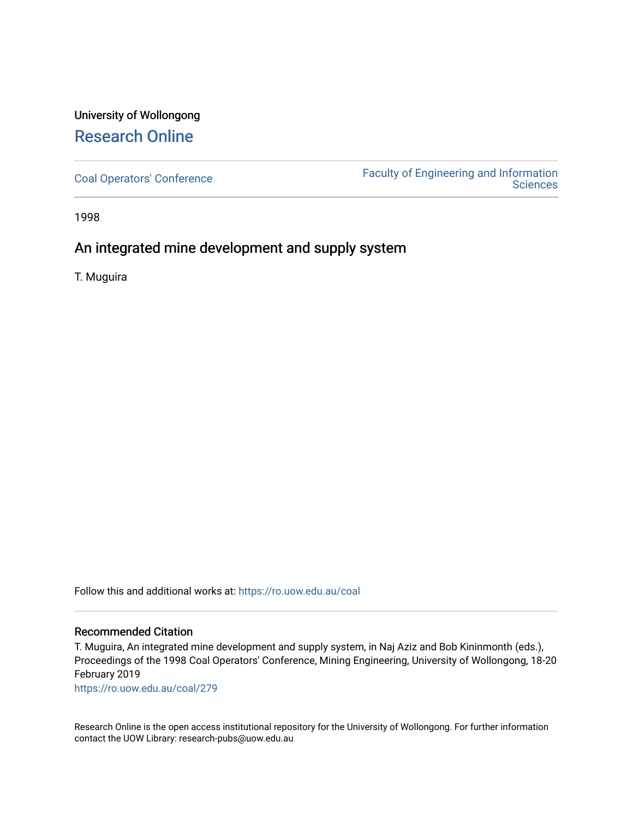# University of Wollongong [Research Online](https://ro.uow.edu.au/)

[Coal Operators' Conference](https://ro.uow.edu.au/coal) [Faculty of Engineering and Information](https://ro.uow.edu.au/eis)  **Sciences** 

1998

# An integrated mine development and supply system

T. Muguira

Follow this and additional works at: [https://ro.uow.edu.au/coal](https://ro.uow.edu.au/coal?utm_source=ro.uow.edu.au%2Fcoal%2F279&utm_medium=PDF&utm_campaign=PDFCoverPages) 

### Recommended Citation

T. Muguira, An integrated mine development and supply system, in Naj Aziz and Bob Kininmonth (eds.), Proceedings of the 1998 Coal Operators' Conference, Mining Engineering, University of Wollongong, 18-20 February 2019

[https://ro.uow.edu.au/coal/279](https://ro.uow.edu.au/coal/279?utm_source=ro.uow.edu.au%2Fcoal%2F279&utm_medium=PDF&utm_campaign=PDFCoverPages) 

Research Online is the open access institutional repository for the University of Wollongong. For further information contact the UOW Library: research-pubs@uow.edu.au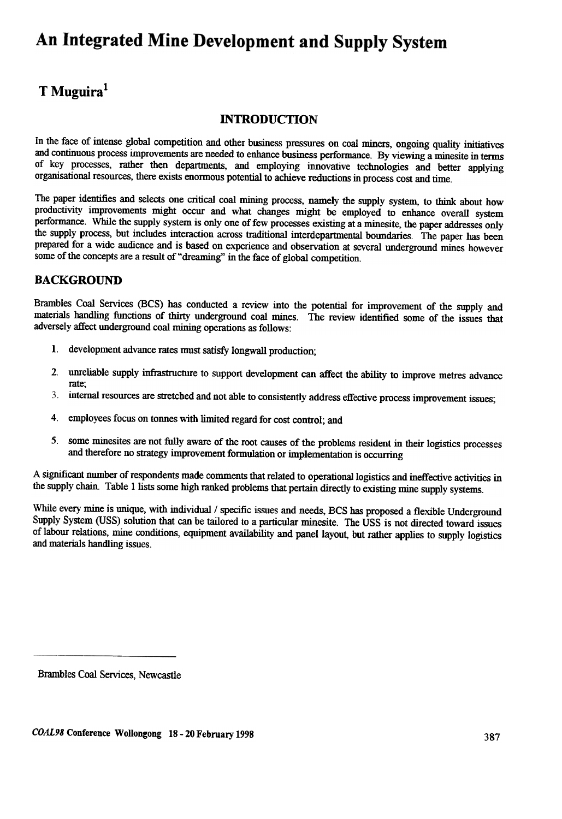# An Integrated Mine Development and Supply System

# T Muguira<sup>1</sup>

## **INTRODUCTION**

In the face of intense global competition and other business pressures on coal miners, ongoing quality initiatives and continuous process improvements are needed to enhance business performance. By viewing a minesite in terms of key processes, rather then departments, and employing innovative technologies and better applying organisational resources, there exists enormous potential to achieve reductions in process cost and time.

The paper identifies and selects one critical coal mining process, namely the supply system, to think about how productivity improvements might occur and what changes might be employed to enhance overall system performance. While the supply system is only one of few processes existing at a minesite, the paper addresses only the supply process, but includes interaction across traditional interdepartmental boundaries. The paper has been prepared for a wide audience and is based on experience and observation at several underground mines however some of the concepts are a result of "dreaming" in the face of global competition.

# BACKGROUND

Brambles Coal Services (BCS) has conducted a review into the potential for improvement of the supply and materials handling functions of thirty underground coal mines. The review identified some of the issues that adversely affect underground coal mining operations as follows:

- I. development advance rates must satisfy longwall production;
- 2. unreliable supply infrastructure to support development can affect the ability to improve metres advance rate;
- internal resources are stretched and not able to consistently address effective process improvement issues; 3.
- 4. employees focus on tonnes with limited regard for cost control; and
- 5. some minesites are not fully aware of the root causes of the problems resident in their logistics processes and therefore no strategy improvement formulation or implementation is occurring

A significant number of respondents made comments that related to operational logistics and ineffective activities in the supply chain. Table 1 lists some high ranked problems that pertain directly to existing mine supply systems.

While every mine is unique, with individual / specific issues and needs, BCS has proposed a flexible Underground Supply System (USS) solution that can be tailored to a particular minesite. The USS is not directed toward issues of labour relations, mine conditions, equipment availability and panel layout, but rather applies to supply logistics and materials handling issues.

Brambles Coal Services, Newcastle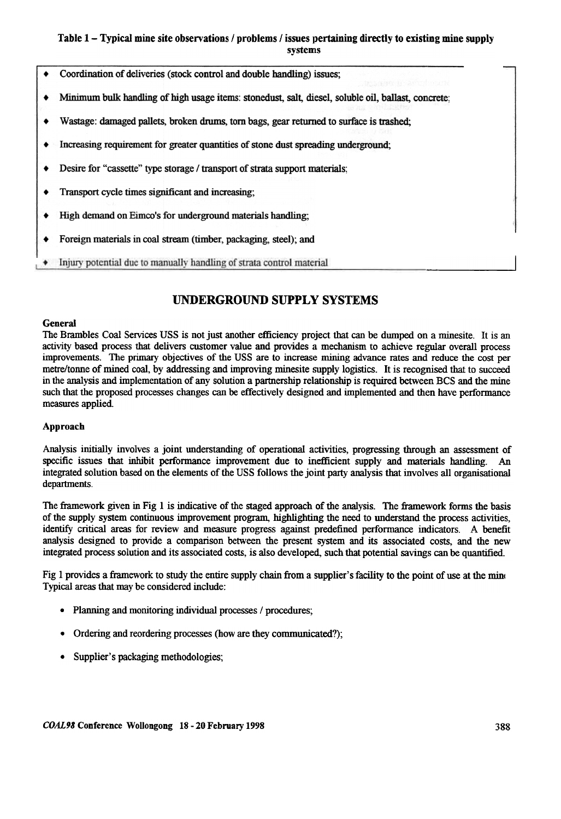### Table 1 - Typical mine site observations / problems / issues pertaining directly to existing mine supply systems

- Coordination of deliveries (stock control and double handling) issues;
- Minimum bulk handling of high usage items: stonedust, salt, diesel, soluble oil, ballast, concrete:
- Wastage: damaged pallets, broken drums, torn bags, gear returned to surface is trashed:
- Increasing requirement for greater quantities of stone dust spreading underground:
- Desire for "cassette" type storage / transport of strata support materials;
- Transport cycle times significant and increasing;
- High demand on Eimco's for underground materials handling:
- Foreign materials in coal stream (timber, packaging, steel); and
- Injury potential due to manually handling of strata control material

# UNDERGROUND SUPPLY SYSTEMS

#### **General**

The Brambles Coal Services USS is not just another efficiency project that can be dumped on a minesite. It is an activity based process that delivers customer value and provides a mechanism to achieve regular overall process improvements. The primary objectives of the USS are to increase mining advance rates and reduce the cost per metre/tonne of mined coal, by addressing and improving minesite supply logistics. It is recognised that to succeed in the analysis and implementation of any solution a partnership relationship is required between BCS and the mine such that the proposed processes changes can be effectively designed and implemented and then have performance measures applied.

#### Approach

Analysis initially involves a joint understanding of operational activities, progressing through an assessment of specific issues that inhibit performance improvement due to inefficient supply and materials handling. An integrated solution based on the elements of the USS follows the joint party analysis that involves all organisational departments.

The framework given in Fig 1 is indicative of the staged approach of the analysis. The framework forms the basis of the supply sYstem continuous improvement program, highlighting the need to understand the process activities, identify critical areas for review and measure progress against predefined performance indicators. A benefit analysis designed to provide a comparison between the present system and its associated costs, and the new integrated process solution and its associated costs, is also developed, such that potential savings can be quantified.

Fig 1 provides a framework to study the entire supply chain from a supplier's facility to the point of use at the mine Typical areas that may be considered include:

- Planning and monitoring individual processes / procedures;
- Ordering and reordering processes (how are they communicated?);
- .Supplier's packaging methodologies;

I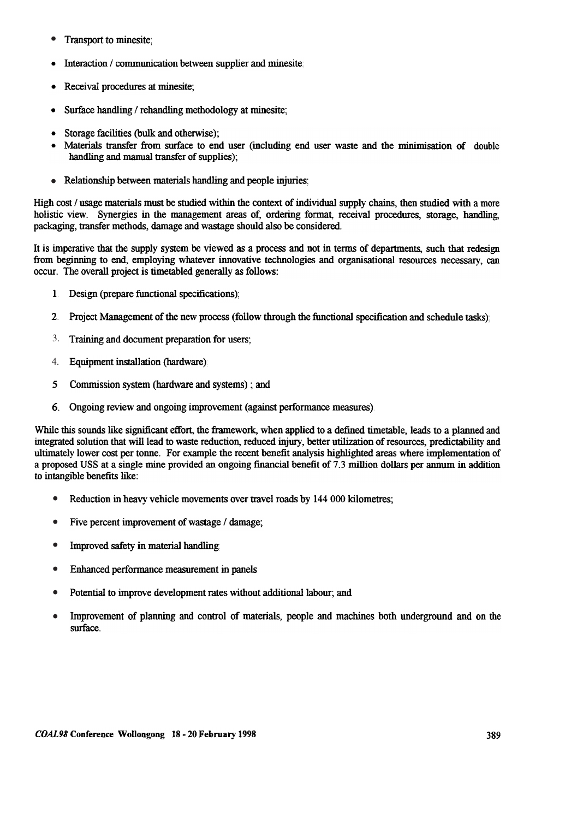- Transport to minesite; •
- Interaction / communication between supplier and minesite;
- .Receival procedures at minesite;
- .Surface handling / rehandling methodology at minesite;
- .Storage facilities (bulk and otherwise);
- .Materials transfer from surface to end user (including end user waste and the minimisation of double handling and manual transfer of supplies);
- Relationship between materials handling and people injuries; •

High cost / usage materials must be studied within the context of individual supply chains, then studied with a more holistic view. Synergies in the management areas of, ordering format, receival procedures, storage, handling, packaging, transfer methods, damage and wastage should also be considered.

It is imperative that the supply system be viewed as a process and not in terms of departments, such that redesign from beginning to end, employing whatever innovative technologies and organisational resources necessary, can occur. The overall project is timetabled generally as follows:

- I. Design (prepare functional specifications);
- 2. Project Management of the new process (follow through the functional specification and schedule tasks);
- Training and document preparation for users; 3.
- Equipment installation (hardware) 4.
- 5 Commission system (hardware and systems) ; and
- 6. Ongoing review and ongoing improvement (against performance measures).

While this sounds like significant effort, the framework, when applied to a defined timetable, leads to a planned and integrated solution that will lead to waste reduction, reduced injury, better utilization of resources, predictability and ultimately lower cost per tonne. For example the recent benefit analysis highlighted areas where implementation of a proposed USS at a single mine provided an ongoing financial benefit of 7.3 million dollars per annum in addition to intangible benefits like:

- Reduction in heavy vehicle movements over travel roads by 144 000 kilometres; •
- Five percent improvement of wastage / damage; •
- Improved safety in material handling; •
- Enhanced performance measurement in panels; •
- Potential to improve development rates without additional labour; and •
- Improvement of planning and control of materials, people and machines both underground and on the surface. •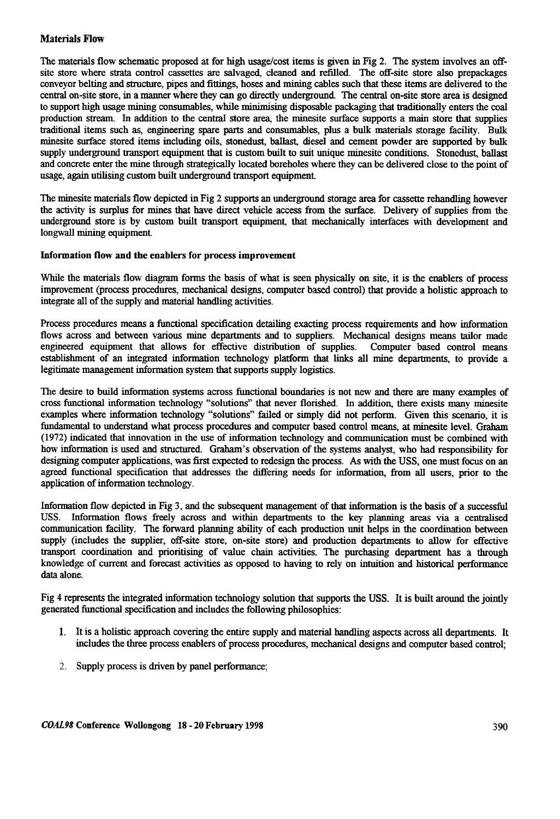### Materials Flow

The materials flow schematic proposed at for high usage/cost items is given in Fig 2. The system involves an offsite store where strata control cassettes are salvaged, cleaned and refilled. The off-site store also prepackages conveyor belting and structure, pipes and fittings, hoses and mining cables such that these items are delivered to the central on-site store, in a manner where they can go directly underground The central on-site store area is designed to support high usage mining consumables, while minimising disposable packaging that traditionally enters the coal production stream. In addition to the central store area, the minesite surface supports a main store that supplies traditional items such as, engineering spare parts and consumables, plus a bulk materials storage facility. Bulk minesite surface stored items including oils, stonedust, ballast, diesel and cement powder are supported by bulk supply underground transport equipment that is custom built to suit unique minesite conditions. Stonedust, ballast and concrete enter the mine through strategically located boreholes where they can be delivered close to the point of usage, again utilising custom built underground transport equipment.

The minesite materials flow depicted in Fig 2 supports an underground storage area for cassette rehandling however the activity is surplus for mines that have direct vehicle access from the surface. Delivery of supplies from the underground store is by custom built transport equipment, that mechanically interfaces with development and longwall mining equipment

#### Information flow and the enablers for process improvement

While the materials flow diagram forms the basis of what is seen physically on site, it is the enablers of process improvement (process procedures, mechanical designs, computer based control) that provide a holistic approach to integrate all of the supply and material handling activities.

Process procedures means a functional specification detailing exacting process requirements and how information flows across and between various mine departments and to suppliers. Mechanical designs means tailor made engineered equipment that allows for effective distribution of supplies. Computer based control means establishment of an integrated information technology platform that links all mine departments, to provide a legitimate management information system that supports supply logistics.

The desire to build infonnation systems across functional boundaries is not new and there are many examples of cross functional information technology "solutions" that never florished. In addition, there exists many minesite examples where information technology "solutions" failed or simply did not perform. Given this scenario, it is fundamental to understand what process procedures and computer based control means, at minesite level. Graham (1972) indicated that innovation in the use of information technology and communication must be combined with how information is used and structured. Graham's observation of the systems analyst, who had responsibility for designing computer applications, was first expected to redesign the process. As with the USS, one must focus on an agreed functional specification that addresses the differing needs for infonnation, from all users, prior to the application of infonnation technology.

Information flow depicted in Fig 3, and the subsequent management of that information is the basis of a successful USS. Information flows freely across and within departments to the key planning areas via a centralised communication facility. The forward planning ability of each production unit helps in the coordination between supply (includes the supplier, off-site store, on-site store) and production departments to allow for effective transport coordination and prioritising of value chain activities. The purchasing department has a through knowledge of current and forecast activities as opposed to having to rely on intuition and historical performance data alone.

Fig 4 represents the integrated information technology solution that supports the USS. It is built around the jointly generated functional specification and includes the following philosophies:

- I. It is a holistic approach covering the entire supply and material handling aspects across all departments. It includes the three process enablers of process procedures, mechanical designs and computer based control;
- 2. Supply process is driven by panel performance;